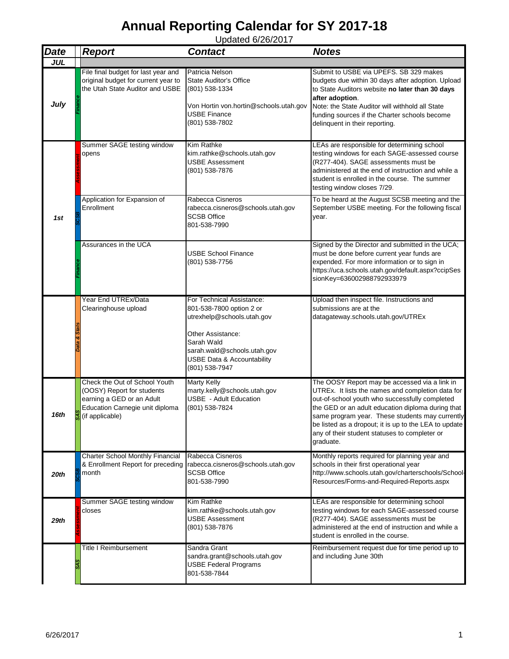| <b>Date</b> | <b>Report</b>                                                                                                                                  | <b>Contact</b>                                                                                                                                                                                                   | <b>Notes</b>                                                                                                                                                                                                                                                                                                                                                                        |
|-------------|------------------------------------------------------------------------------------------------------------------------------------------------|------------------------------------------------------------------------------------------------------------------------------------------------------------------------------------------------------------------|-------------------------------------------------------------------------------------------------------------------------------------------------------------------------------------------------------------------------------------------------------------------------------------------------------------------------------------------------------------------------------------|
| <b>JUL</b>  |                                                                                                                                                |                                                                                                                                                                                                                  |                                                                                                                                                                                                                                                                                                                                                                                     |
| July        | File final budget for last year and<br>original budget for current year to<br>the Utah State Auditor and USBE                                  | Patricia Nelson<br>State Auditor's Office<br>(801) 538-1334<br>Von Hortin von.hortin@schools.utah.gov<br>USBE Finance<br>(801) 538-7802                                                                          | Submit to USBE via UPEFS. SB 329 makes<br>budgets due within 30 days after adoption. Upload<br>to State Auditors website no later than 30 days<br>after adoption.<br>Note: the State Auditor will withhold all State<br>funding sources if the Charter schools become<br>delinquent in their reporting.                                                                             |
|             | Summer SAGE testing window<br>opens                                                                                                            | Kim Rathke<br>kim.rathke@schools.utah.gov<br><b>USBE Assessment</b><br>(801) 538-7876                                                                                                                            | LEAs are responsible for determining school<br>testing windows for each SAGE-assessed course<br>(R277-404). SAGE assessments must be<br>administered at the end of instruction and while a<br>student is enrolled in the course. The summer<br>testing window closes 7/29.                                                                                                          |
| 1st         | Application for Expansion of<br>Enrollment                                                                                                     | Rabecca Cisneros<br>rabecca.cisneros@schools.utah.gov<br><b>SCSB Office</b><br>801-538-7990                                                                                                                      | To be heard at the August SCSB meeting and the<br>September USBE meeting. For the following fiscal<br>year.                                                                                                                                                                                                                                                                         |
|             | Assurances in the UCA                                                                                                                          | <b>USBE School Finance</b><br>(801) 538-7756                                                                                                                                                                     | Signed by the Director and submitted in the UCA;<br>must be done before current year funds are<br>expended. For more information or to sign in<br>https://uca.schools.utah.gov/default.aspx?ccipSes<br>sionKey=636002988792933979                                                                                                                                                   |
|             | Year End UTREx/Data<br>Clearinghouse upload                                                                                                    | For Technical Assistance:<br>801-538-7800 option 2 or<br>utrexhelp@schools.utah.gov<br>Other Assistance:<br>Sarah Wald<br>sarah.wald@schools.utah.gov<br><b>USBE Data &amp; Accountability</b><br>(801) 538-7947 | Upload then inspect file. Instructions and<br>submissions are at the<br>datagateway.schools.utah.gov/UTREx                                                                                                                                                                                                                                                                          |
| 16th        | Check the Out of School Youth<br>(OOSY) Report for students<br>earning a GED or an Adult<br>Education Carnegie unit diploma<br>(if applicable) | <b>Marty Kelly</b><br>marty.kelly@schools.utah.gov<br><b>USBE</b> - Adult Education<br>(801) 538-7824                                                                                                            | The OOSY Report may be accessed via a link in<br>UTREx. It lists the names and completion data for<br>out-of-school youth who successfully completed<br>the GED or an adult education diploma during that<br>same program year. These students may currently<br>be listed as a dropout; it is up to the LEA to update<br>any of their student statuses to completer or<br>graduate. |
| 20th        | Charter School Monthly Financial<br>& Enrollment Report for preceding<br>month                                                                 | Rabecca Cisneros<br>rabecca.cisneros@schools.utah.gov<br><b>SCSB Office</b><br>801-538-7990                                                                                                                      | Monthly reports required for planning year and<br>schools in their first operational year<br>http://www.schools.utah.gov/charterschools/School-<br>Resources/Forms-and-Required-Reports.aspx                                                                                                                                                                                        |
| 29th        | Summer SAGE testing window<br>closes                                                                                                           | Kim Rathke<br>kim.rathke@schools.utah.gov<br>USBE Assessment<br>(801) 538-7876                                                                                                                                   | LEAs are responsible for determining school<br>testing windows for each SAGE-assessed course<br>(R277-404). SAGE assessments must be<br>administered at the end of instruction and while a<br>student is enrolled in the course.                                                                                                                                                    |
|             | Title I Reimbursement                                                                                                                          | Sandra Grant<br>sandra.grant@schools.utah.gov<br>USBE Federal Programs<br>801-538-7844                                                                                                                           | Reimbursement request due for time period up to<br>and including June 30th                                                                                                                                                                                                                                                                                                          |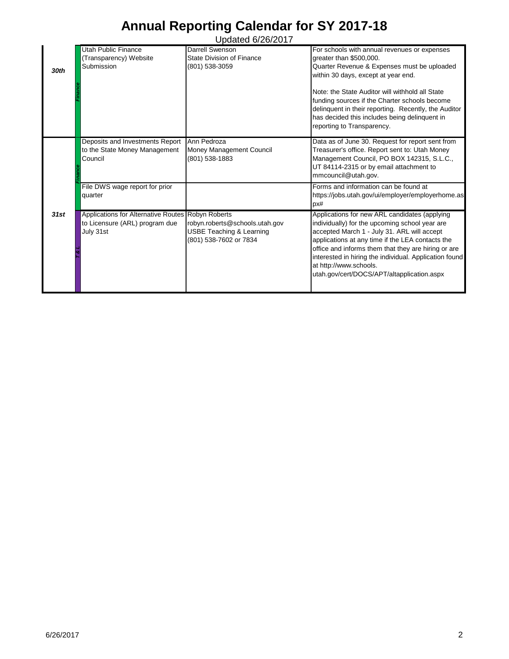| 30th      | <b>Utah Public Finance</b><br>(Transparency) Website<br>Submission                                                                            | <u>Upuuluu U/LU/LUTT</u><br>Darrell Swenson<br>State Division of Finance<br>(801) 538-3059      | For schools with annual revenues or expenses<br>greater than \$500,000.<br>Quarter Revenue & Expenses must be uploaded<br>within 30 days, except at year end.<br>Note: the State Auditor will withhold all State<br>funding sources if the Charter schools become<br>delinquent in their reporting. Recently, the Auditor<br>has decided this includes being delinquent in<br>reporting to Transparency.                                                                                         |
|-----------|-----------------------------------------------------------------------------------------------------------------------------------------------|-------------------------------------------------------------------------------------------------|--------------------------------------------------------------------------------------------------------------------------------------------------------------------------------------------------------------------------------------------------------------------------------------------------------------------------------------------------------------------------------------------------------------------------------------------------------------------------------------------------|
|           | Deposits and Investments Report<br>to the State Money Management<br>Council                                                                   | Ann Pedroza<br>Money Management Council<br>(801) 538-1883                                       | Data as of June 30. Request for report sent from<br>Treasurer's office. Report sent to: Utah Money<br>Management Council, PO BOX 142315, S.L.C.,<br>UT 84114-2315 or by email attachment to<br>mmcouncil@utah.gov.                                                                                                                                                                                                                                                                               |
| 31st      | File DWS wage report for prior<br>quarter<br>Applications for Alternative Routes Robyn Roberts<br>to Licensure (ARL) program due<br>July 31st | robyn.roberts@schools.utah.gov<br><b>USBE Teaching &amp; Learning</b><br>(801) 538-7602 or 7834 | Forms and information can be found at<br>https://jobs.utah.gov/ui/employer/employerhome.as<br>px#<br>Applications for new ARL candidates (applying<br>individually) for the upcoming school year are<br>accepted March 1 - July 31. ARL will accept<br>applications at any time if the LEA contacts the<br>office and informs them that they are hiring or are<br>interested in hiring the individual. Application found<br>at http://www.schools.<br>utah.gov/cert/DOCS/APT/altapplication.aspx |
|           |                                                                                                                                               |                                                                                                 |                                                                                                                                                                                                                                                                                                                                                                                                                                                                                                  |
|           |                                                                                                                                               |                                                                                                 |                                                                                                                                                                                                                                                                                                                                                                                                                                                                                                  |
|           |                                                                                                                                               |                                                                                                 |                                                                                                                                                                                                                                                                                                                                                                                                                                                                                                  |
|           |                                                                                                                                               |                                                                                                 |                                                                                                                                                                                                                                                                                                                                                                                                                                                                                                  |
|           |                                                                                                                                               |                                                                                                 |                                                                                                                                                                                                                                                                                                                                                                                                                                                                                                  |
| 6/26/2017 |                                                                                                                                               |                                                                                                 | $\overline{c}$                                                                                                                                                                                                                                                                                                                                                                                                                                                                                   |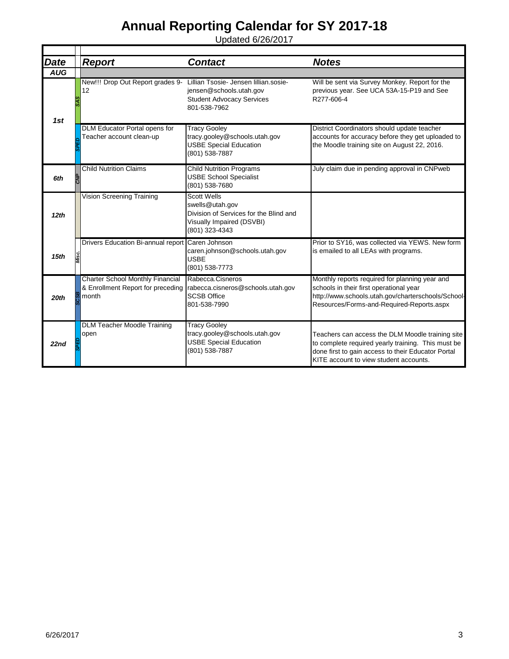| <b>Date</b> | <b>Report</b>                                                                         | <b>Contact</b>                                                                                                                 | <b>Notes</b>                                                                                                                                                                                           |
|-------------|---------------------------------------------------------------------------------------|--------------------------------------------------------------------------------------------------------------------------------|--------------------------------------------------------------------------------------------------------------------------------------------------------------------------------------------------------|
| <b>AUG</b>  |                                                                                       |                                                                                                                                |                                                                                                                                                                                                        |
| 1st         | New!!! Drop Out Report grades 9-<br>12                                                | Lillian Tsosie- Jensen lillian.sosie-<br>jensen@schools.utah.gov<br><b>Student Advocacy Services</b><br>801-538-7962           | Will be sent via Survey Monkey. Report for the<br>previous year. See UCA 53A-15-P19 and See<br>R277-606-4                                                                                              |
|             | DLM Educator Portal opens for<br>Teacher account clean-up                             | <b>Tracy Gooley</b><br>tracy.gooley@schools.utah.gov<br><b>USBE Special Education</b><br>(801) 538-7887                        | District Coordinators should update teacher<br>accounts for accuracy before they get uploaded to<br>the Moodle training site on August 22, 2016.                                                       |
| 6th         | <b>Child Nutrition Claims</b>                                                         | <b>Child Nutrition Programs</b><br><b>USBE School Specialist</b><br>(801) 538-7680                                             | July claim due in pending approval in CNPweb                                                                                                                                                           |
| 12th        | Vision Screening Training                                                             | <b>Scott Wells</b><br>swells@utah.gov<br>Division of Services for the Blind and<br>Visually Impaired (DSVBI)<br>(801) 323-4343 |                                                                                                                                                                                                        |
| 15th        | Drivers Education Bi-annual report                                                    | Caren Johnson<br>caren.johnson@schools.utah.gov<br><b>USBE</b><br>(801) 538-7773                                               | Prior to SY16, was collected via YEWS. New form<br>is emailed to all LEAs with programs.                                                                                                               |
| 20th        | <b>Charter School Monthly Financial</b><br>& Enrollment Report for preceding<br>month | Rabecca.Cisneros<br>rabecca.cisneros@schools.utah.gov<br><b>SCSB Office</b><br>801-538-7990                                    | Monthly reports required for planning year and<br>schools in their first operational year<br>http://www.schools.utah.gov/charterschools/School-<br>Resources/Forms-and-Required-Reports.aspx           |
| 22nd        | <b>DLM Teacher Moodle Training</b><br>open                                            | <b>Tracy Gooley</b><br>tracy.gooley@schools.utah.gov<br><b>USBE Special Education</b><br>(801) 538-7887                        | Teachers can access the DLM Moodle training site<br>to complete required yearly training. This must be<br>done first to gain access to their Educator Portal<br>KITE account to view student accounts. |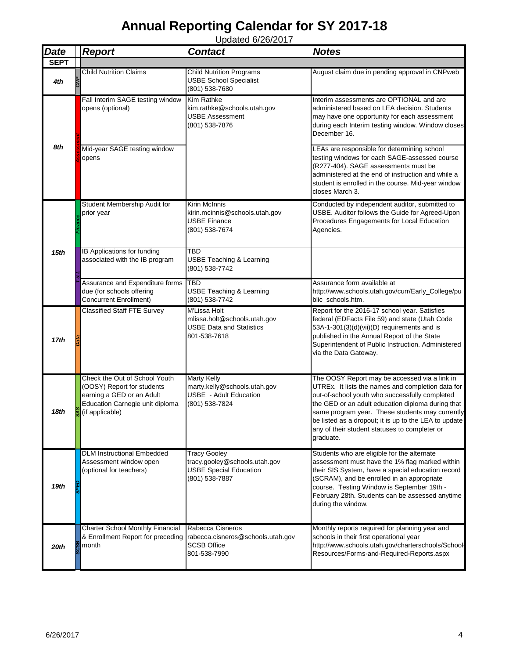| <b>Date</b> | <b>Report</b>                                                                                                                                  | <b>Contact</b>                                                                                          | <b>Notes</b>                                                                                                                                                                                                                                                                                                                                                                        |
|-------------|------------------------------------------------------------------------------------------------------------------------------------------------|---------------------------------------------------------------------------------------------------------|-------------------------------------------------------------------------------------------------------------------------------------------------------------------------------------------------------------------------------------------------------------------------------------------------------------------------------------------------------------------------------------|
| <b>SEPT</b> |                                                                                                                                                |                                                                                                         |                                                                                                                                                                                                                                                                                                                                                                                     |
| 4th         | <b>Child Nutrition Claims</b>                                                                                                                  | <b>Child Nutrition Programs</b><br><b>USBE School Specialist</b><br>(801) 538-7680                      | August claim due in pending approval in CNPweb                                                                                                                                                                                                                                                                                                                                      |
|             | Fall Interim SAGE testing window<br>opens (optional)                                                                                           | <b>Kim Rathke</b><br>kim.rathke@schools.utah.gov<br><b>USBE Assessment</b><br>(801) 538-7876            | Interim assessments are OPTIONAL and are<br>administered based on LEA decision. Students<br>may have one opportunity for each assessment<br>during each Interim testing window. Window closes<br>December 16.                                                                                                                                                                       |
| 8th         | Mid-year SAGE testing window<br>opens                                                                                                          |                                                                                                         | LEAs are responsible for determining school<br>testing windows for each SAGE-assessed course<br>(R277-404). SAGE assessments must be<br>administered at the end of instruction and while a<br>student is enrolled in the course. Mid-year window<br>closes March 3.                                                                                                                 |
|             | Student Membership Audit for<br>prior year                                                                                                     | Kirin McInnis<br>kirin.mcinnis@schools.utah.gov<br><b>USBE Finance</b><br>(801) 538-7674                | Conducted by independent auditor, submitted to<br>USBE. Auditor follows the Guide for Agreed-Upon<br>Procedures Engagements for Local Education<br>Agencies.                                                                                                                                                                                                                        |
| 15th        | IB Applications for funding<br>associated with the IB program                                                                                  | TBD<br><b>USBE Teaching &amp; Learning</b><br>(801) 538-7742                                            |                                                                                                                                                                                                                                                                                                                                                                                     |
|             | Assurance and Expenditure forms<br>due (for schools offering<br><b>Concurrent Enrollment)</b>                                                  | <b>TBD</b><br><b>USBE Teaching &amp; Learning</b><br>(801) 538-7742                                     | Assurance form available at<br>http://www.schools.utah.gov/curr/Early_College/pu<br>blic_schools.htm.                                                                                                                                                                                                                                                                               |
| 17th        | <b>Classified Staff FTE Survey</b>                                                                                                             | M'Lissa Holt<br>mlissa.holt@schools.utah.gov<br><b>USBE Data and Statistics</b><br>801-538-7618         | Report for the 2016-17 school year. Satisfies<br>federal (EDFacts File 59) and state (Utah Code<br>53A-1-301(3)(d)(vii)(D) requirements and is<br>published in the Annual Report of the State<br>Superintendent of Public Instruction. Administered<br>via the Data Gateway.                                                                                                        |
| 18th        | Check the Out of School Youth<br>(OOSY) Report for students<br>earning a GED or an Adult<br>Education Carnegie unit diploma<br>(if applicable) | <b>Marty Kelly</b><br>marty.kelly@schools.utah.gov<br>USBE - Adult Education<br>(801) 538-7824          | The OOSY Report may be accessed via a link in<br>UTREx. It lists the names and completion data for<br>out-of-school youth who successfully completed<br>the GED or an adult education diploma during that<br>same program year. These students may currently<br>be listed as a dropout; it is up to the LEA to update<br>any of their student statuses to completer or<br>graduate. |
| 19th        | <b>DLM Instructional Embedded</b><br>Assessment window open<br>(optional for teachers)                                                         | <b>Tracy Gooley</b><br>tracy.gooley@schools.utah.gov<br><b>USBE Special Education</b><br>(801) 538-7887 | Students who are eligible for the alternate<br>assessment must have the 1% flag marked within<br>their SIS System, have a special education record<br>(SCRAM), and be enrolled in an appropriate<br>course. Testing Window is September 19th -<br>February 28th. Students can be assessed anytime<br>during the window.                                                             |
| 20th        | <b>Charter School Monthly Financial</b><br>& Enrollment Report for preceding<br>month                                                          | Rabecca Cisneros<br>rabecca.cisneros@schools.utah.gov<br><b>SCSB Office</b><br>801-538-7990             | Monthly reports required for planning year and<br>schools in their first operational year<br>http://www.schools.utah.gov/charterschools/School-<br>Resources/Forms-and-Required-Reports.aspx                                                                                                                                                                                        |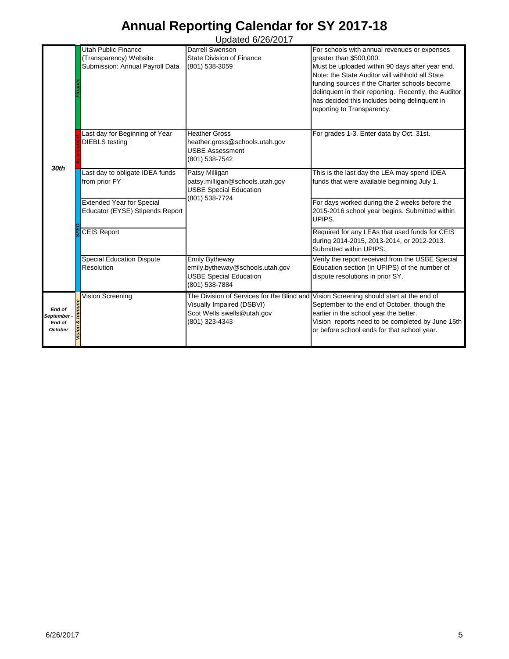|                  |                                  | Opuutou vizvizvii               |                                                                                        |
|------------------|----------------------------------|---------------------------------|----------------------------------------------------------------------------------------|
|                  | <b>Utah Public Finance</b>       | Darrell Swenson                 | For schools with annual revenues or expenses                                           |
|                  | (Transparency) Website           | State Division of Finance       | greater than \$500,000.                                                                |
|                  | Submission: Annual Payroll Data  | (801) 538-3059                  | Must be uploaded within 90 days after year end.                                        |
|                  |                                  |                                 |                                                                                        |
|                  |                                  |                                 | Note: the State Auditor will withhold all State                                        |
|                  |                                  |                                 | funding sources if the Charter schools become                                          |
|                  |                                  |                                 | delinquent in their reporting. Recently, the Auditor                                   |
|                  |                                  |                                 |                                                                                        |
|                  |                                  |                                 | has decided this includes being delinquent in                                          |
|                  |                                  |                                 | reporting to Transparency.                                                             |
|                  |                                  |                                 |                                                                                        |
|                  |                                  |                                 |                                                                                        |
|                  | Last day for Beginning of Year   | <b>Heather Gross</b>            | For grades 1-3. Enter data by Oct. 31st.                                               |
|                  | <b>DIEBLS</b> testing            | heather.gross@schools.utah.gov  |                                                                                        |
|                  |                                  | <b>USBE Assessment</b>          |                                                                                        |
|                  |                                  |                                 |                                                                                        |
|                  |                                  | (801) 538-7542                  |                                                                                        |
| 30 <sub>th</sub> |                                  |                                 |                                                                                        |
|                  | Last day to obligate IDEA funds  | Patsy Milligan                  | This is the last day the LEA may spend IDEA                                            |
|                  | from prior FY                    | patsy.milligan@schools.utah.gov | funds that were available beginning July 1.                                            |
|                  |                                  | <b>USBE Special Education</b>   |                                                                                        |
|                  |                                  | (801) 538-7724                  |                                                                                        |
|                  | <b>Extended Year for Special</b> |                                 | For days worked during the 2 weeks before the                                          |
|                  | Educator (EYSE) Stipends Report  |                                 | 2015-2016 school year begins. Submitted within                                         |
|                  |                                  |                                 | UPIPS.                                                                                 |
|                  |                                  |                                 |                                                                                        |
|                  | <b>CEIS Report</b>               |                                 | Required for any LEAs that used funds for CEIS                                         |
|                  |                                  |                                 | during 2014-2015, 2013-2014, or 2012-2013.                                             |
|                  |                                  |                                 | Submitted within UPIPS.                                                                |
|                  |                                  |                                 |                                                                                        |
|                  | <b>Special Education Dispute</b> | Emily Bytheway                  | Verify the report received from the USBE Special                                       |
|                  | Resolution                       | emily.bytheway@schools.utah.gov | Education section (in UPIPS) of the number of                                          |
|                  |                                  | <b>USBE Special Education</b>   | dispute resolutions in prior SY.                                                       |
|                  |                                  | (801) 538-7884                  |                                                                                        |
|                  |                                  |                                 |                                                                                        |
|                  | <b>Vision Screening</b>          |                                 | The Division of Services for the Blind and Vision Screening should start at the end of |
| End of           |                                  | Visually Impaired (DSBVI)       | September to the end of October, though the                                            |
| September        |                                  | Scot Wells swells@utah.gov      | earlier in the school year the better.                                                 |
| End of           |                                  | (801) 323-4343                  | Vision reports need to be completed by June 15th                                       |
| <b>October</b>   |                                  |                                 | or before school ends for that school year.                                            |
|                  |                                  |                                 |                                                                                        |
|                  |                                  |                                 |                                                                                        |
|                  |                                  |                                 |                                                                                        |
|                  |                                  |                                 |                                                                                        |
|                  |                                  |                                 |                                                                                        |
|                  |                                  |                                 |                                                                                        |
|                  |                                  |                                 |                                                                                        |
|                  |                                  |                                 |                                                                                        |
|                  |                                  |                                 |                                                                                        |
|                  |                                  |                                 |                                                                                        |
|                  |                                  |                                 |                                                                                        |
|                  |                                  |                                 |                                                                                        |
|                  |                                  |                                 |                                                                                        |
|                  |                                  |                                 |                                                                                        |
|                  |                                  |                                 |                                                                                        |
|                  |                                  |                                 |                                                                                        |
|                  |                                  |                                 |                                                                                        |
|                  |                                  |                                 |                                                                                        |
|                  |                                  |                                 |                                                                                        |
|                  |                                  |                                 |                                                                                        |
|                  |                                  |                                 |                                                                                        |
|                  |                                  |                                 |                                                                                        |
|                  |                                  |                                 |                                                                                        |
|                  |                                  |                                 |                                                                                        |
|                  |                                  |                                 |                                                                                        |
|                  |                                  |                                 |                                                                                        |
|                  |                                  |                                 |                                                                                        |
|                  |                                  |                                 |                                                                                        |
|                  |                                  |                                 |                                                                                        |
|                  |                                  |                                 |                                                                                        |
|                  |                                  |                                 |                                                                                        |
|                  |                                  |                                 |                                                                                        |
|                  |                                  |                                 |                                                                                        |
|                  |                                  |                                 |                                                                                        |
|                  |                                  |                                 |                                                                                        |
|                  |                                  |                                 |                                                                                        |
|                  |                                  |                                 |                                                                                        |
|                  |                                  |                                 |                                                                                        |
|                  |                                  |                                 |                                                                                        |
|                  |                                  |                                 |                                                                                        |
|                  |                                  |                                 |                                                                                        |
| 6/26/2017        |                                  |                                 | 5                                                                                      |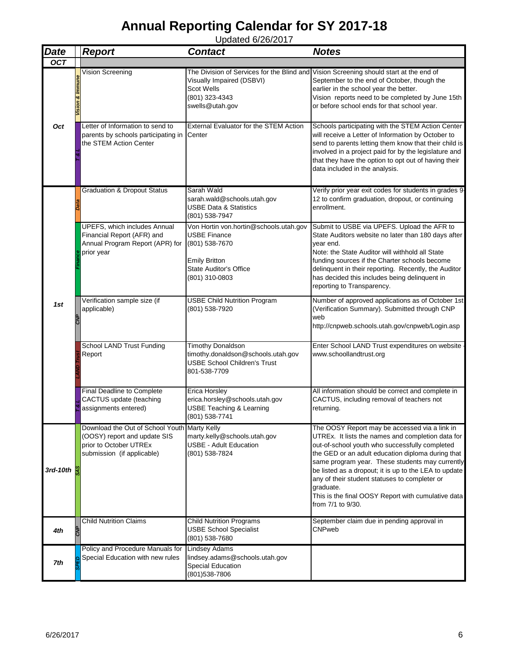| <b>Date</b> | <b>Report</b>                                                                                                                        | <b>Contact</b>                                                                                                                                             | <b>Notes</b>                                                                                                                                                                                                                                                                                                                                                                                                                                                   |
|-------------|--------------------------------------------------------------------------------------------------------------------------------------|------------------------------------------------------------------------------------------------------------------------------------------------------------|----------------------------------------------------------------------------------------------------------------------------------------------------------------------------------------------------------------------------------------------------------------------------------------------------------------------------------------------------------------------------------------------------------------------------------------------------------------|
| <b>OCT</b>  |                                                                                                                                      |                                                                                                                                                            |                                                                                                                                                                                                                                                                                                                                                                                                                                                                |
|             | <b>Vision Screening</b>                                                                                                              | The Division of Services for the Blind and<br>Visually Impaired (DSBVI)<br>Scot Wells<br>(801) 323-4343<br>swells@utah.gov                                 | Vision Screening should start at the end of<br>September to the end of October, though the<br>earlier in the school year the better.<br>Vision reports need to be completed by June 15th<br>or before school ends for that school year.                                                                                                                                                                                                                        |
| Oct         | Letter of Information to send to<br>parents by schools participating in<br>the STEM Action Center                                    | External Evaluator for the STEM Action<br>Center                                                                                                           | Schools participating with the STEM Action Center<br>will receive a Letter of Information by October to<br>send to parents letting them know that their child is<br>involved in a project paid for by the legislature and<br>that they have the option to opt out of having their<br>data included in the analysis.                                                                                                                                            |
|             | <b>Graduation &amp; Dropout Status</b>                                                                                               | Sarah Wald<br>sarah.wald@schools.utah.gov<br><b>USBE Data &amp; Statistics</b><br>(801) 538-7947                                                           | Verify prior year exit codes for students in grades 9-<br>12 to confirm graduation, dropout, or continuing<br>enrollment.                                                                                                                                                                                                                                                                                                                                      |
|             | UPEFS, which includes Annual<br>Financial Report (AFR) and<br>Annual Program Report (APR) for<br>prior year                          | Von Hortin von.hortin@schools.utah.gov<br><b>USBE Finance</b><br>(801) 538-7670<br><b>Emily Britton</b><br><b>State Auditor's Office</b><br>(801) 310-0803 | Submit to USBE via UPEFS. Upload the AFR to<br>State Auditors website no later than 180 days after<br>vear end.<br>Note: the State Auditor will withhold all State<br>funding sources if the Charter schools become<br>delinquent in their reporting. Recently, the Auditor<br>has decided this includes being delinquent in<br>reporting to Transparency.                                                                                                     |
| 1st         | Verification sample size (if<br>applicable)                                                                                          | <b>USBE Child Nutrition Program</b><br>(801) 538-7920                                                                                                      | Number of approved applications as of October 1st<br>(Verification Summary). Submitted through CNP<br>web<br>http://cnpweb.schools.utah.gov/cnpweb/Login.asp                                                                                                                                                                                                                                                                                                   |
|             | <b>School LAND Trust Funding</b><br>Report                                                                                           | <b>Timothy Donaldson</b><br>timothy.donaldson@schools.utah.gov<br><b>USBE School Children's Trust</b><br>801-538-7709                                      | Enter School LAND Trust expenditures on website<br>www.schoollandtrust.org                                                                                                                                                                                                                                                                                                                                                                                     |
|             | Final Deadline to Complete<br>CACTUS update (teaching<br>assignments entered)                                                        | Erica Horsley<br>erica.horsley@schools.utah.gov<br><b>USBE Teaching &amp; Learning</b><br>(801) 538-7741                                                   | All information should be correct and complete in<br>CACTUS, including removal of teachers not<br>returning.                                                                                                                                                                                                                                                                                                                                                   |
| 3rd-10th    | Download the Out of School Youth Marty Kelly<br>(OOSY) report and update SIS<br>prior to October UTREx<br>submission (if applicable) | marty.kelly@schools.utah.gov<br>USBE - Adult Education<br>(801) 538-7824                                                                                   | The OOSY Report may be accessed via a link in<br>UTREx. It lists the names and completion data for<br>out-of-school youth who successfully completed<br>the GED or an adult education diploma during that<br>same program year. These students may currently<br>be listed as a dropout; it is up to the LEA to update<br>any of their student statuses to completer or<br>graduate.<br>This is the final OOSY Report with cumulative data<br>from 7/1 to 9/30. |
| 4th         | <b>Child Nutrition Claims</b>                                                                                                        | <b>Child Nutrition Programs</b><br><b>USBE School Specialist</b><br>(801) 538-7680                                                                         | September claim due in pending approval in<br>CNPweb                                                                                                                                                                                                                                                                                                                                                                                                           |
| 7th         | Policy and Procedure Manuals for<br>Special Education with new rules                                                                 | <b>Lindsey Adams</b><br>lindsey.adams@schools.utah.gov<br>Special Education<br>(801) 538-7806                                                              |                                                                                                                                                                                                                                                                                                                                                                                                                                                                |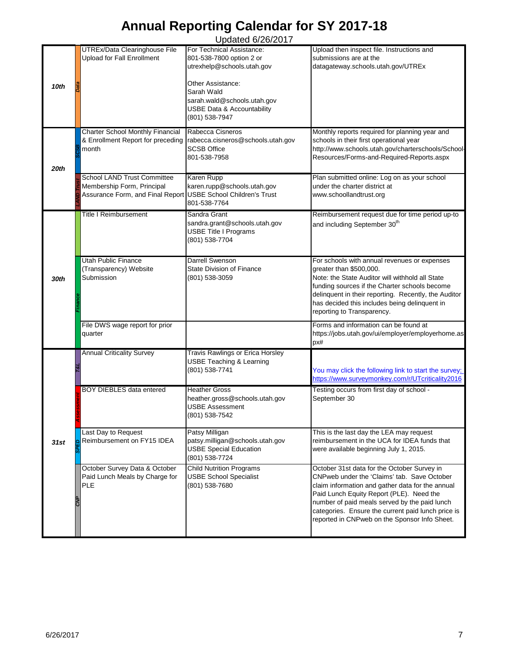Updated 6/26/2017 *10th Data* UTREx/Data Clearinghouse File Upload for Fall Enrollment For Technical Assistance: 801-538-7800 option 2 or utrexhelp@schools.utah.gov Other Assistance: Sarah Wald sarah.wald@schools.utah.gov USBE Data & Accountability (801) 538-7947 Upload then inspect file. Instructions and submissions are at the datagateway.schools.utah.gov/UTREx *SCSB* Charter School Monthly Financial & Enrollment Report for preceding month Rabecca Cisneros rabecca.cisneros@schools.utah.gov SCSB Office 801-538-7958 Monthly reports required for planning year and schools in their first operational year http://www.schools.utah.gov/charterschools/School-Resources/Forms-and-Required-Reports.aspx **L**<br>B Membership Form, Principal<br>**P** Membership Form, Principal<br>R<br>S Membership Form, Principal Assurance Form, and Final Report Karen Rupp karen.rupp@schools.utah.gov USBE School Children's Trust 801-538-7764 Plan submitted online: Log on as your school under the charter district at www.schoollandtrust.org Title I Reimbursement Sandra Grant sandra.grant@schools.utah.gov USBE Title I Programs (801) 538-7704 Reimbursement request due for time period up-to and including September 30<sup>th</sup> Utah Public Finance (Transparency) Website Submission Darrell Swenson State Division of Finance (801) 538-3059 For schools with annual revenues or expenses greater than \$500,000. Note: the State Auditor will withhold all State funding sources if the Charter schools become delinquent in their reporting. Recently, the Auditor has decided this includes being delinquent in reporting to Transparency. File DWS wage report for prior quarter Forms and information can be found at https://jobs.utah.gov/ui/employer/employerhome.as px# *T&L* Annual Criticality Survey **Travis Rawlings or Erica Horsley** USBE Teaching & Learning<br>(801) 538-7741 You may click the following link to start the survey: <https://www.surveymonkey.com/r/UTcriticality2016> **Assessed BOY DIEBLES data entered Heather Gross<br>
Assessment<br>
BOY DIEBLES data entered heather gross ©<br>
USBE Assessned<br>
(801) 538-7542** heather.gross@schools.utah.gov USBE Assessment (801) 538-7542 Testing occurs from first day of school - September 30 *SPED* Last Day to Request Reimbursement on FY15 IDEA Patsy Milligan patsy.milligan@schools.utah.gov USBE Special Education (801) 538-7724 This is the last day the LEA may request reimbursement in the UCA for IDEA funds that were available beginning July 1, 2015. *CNP* October Survey Data & October Paid Lunch Meals by Charge for PLE Child Nutrition Programs USBE School Specialist (801) 538-7680 October 31st data for the October Survey in CNPweb under the 'Claims' tab. Save October claim information and gather data for the annual Paid Lunch Equity Report (PLE). Need the number of paid meals served by the paid lunch categories. Ensure the current paid lunch price is reported in CNPweb on the Sponsor Info Sheet. *20th 31st Finance 30th*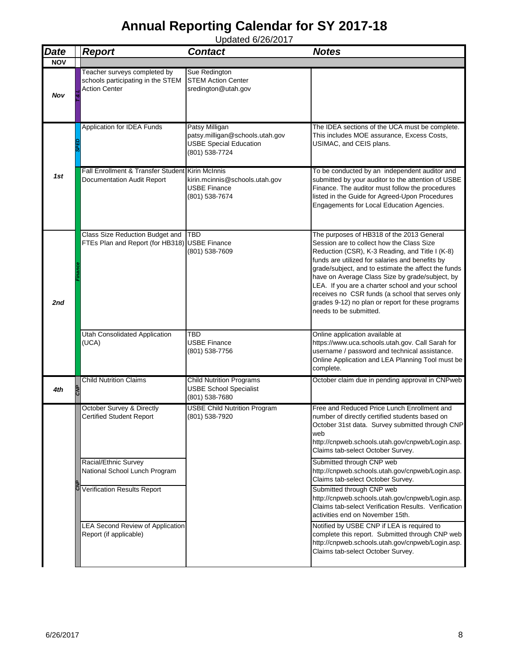| <b>Date</b> | <b>Report</b>                                                                             | <b>Contact</b>                                                                                       | <b>Notes</b>                                                                                                                                                                                                                                                                                                                                                                                                                                                                                  |
|-------------|-------------------------------------------------------------------------------------------|------------------------------------------------------------------------------------------------------|-----------------------------------------------------------------------------------------------------------------------------------------------------------------------------------------------------------------------------------------------------------------------------------------------------------------------------------------------------------------------------------------------------------------------------------------------------------------------------------------------|
| <b>NOV</b>  |                                                                                           |                                                                                                      |                                                                                                                                                                                                                                                                                                                                                                                                                                                                                               |
| Nov         | Teacher surveys completed by<br>schools participating in the STEM<br><b>Action Center</b> | Sue Redington<br><b>STEM Action Center</b><br>sredington@utah.gov                                    |                                                                                                                                                                                                                                                                                                                                                                                                                                                                                               |
|             | Application for IDEA Funds                                                                | Patsy Milligan<br>patsy.milligan@schools.utah.gov<br><b>USBE Special Education</b><br>(801) 538-7724 | The IDEA sections of the UCA must be complete.<br>This includes MOE assurance, Excess Costs,<br>USIMAC, and CEIS plans.                                                                                                                                                                                                                                                                                                                                                                       |
| 1st         | Fall Enrollment & Transfer Student Kirin McInnis<br>Documentation Audit Report            | kirin.mcinnis@schools.utah.gov<br>USBE Finance<br>(801) 538-7674                                     | To be conducted by an independent auditor and<br>submitted by your auditor to the attention of USBE<br>Finance. The auditor must follow the procedures<br>listed in the Guide for Agreed-Upon Procedures<br>Engagements for Local Education Agencies.                                                                                                                                                                                                                                         |
| 2nd         | <b>Class Size Reduction Budget and</b><br>FTEs Plan and Report (for HB318) USBE Finance   | <b>TBD</b><br>(801) 538-7609                                                                         | The purposes of HB318 of the 2013 General<br>Session are to collect how the Class Size<br>Reduction (CSR), K-3 Reading, and Title I (K-8)<br>funds are utilized for salaries and benefits by<br>grade/subject, and to estimate the affect the funds<br>have on Average Class Size by grade/subject, by<br>LEA. If you are a charter school and your school<br>receives no CSR funds (a school that serves only<br>grades 9-12) no plan or report for these programs<br>needs to be submitted. |
|             | <b>Utah Consolidated Application</b><br>(UCA)                                             | TBD<br><b>USBE Finance</b><br>(801) 538-7756                                                         | Online application available at<br>https://www.uca.schools.utah.gov. Call Sarah for<br>username / password and technical assistance.<br>Online Application and LEA Planning Tool must be<br>complete.                                                                                                                                                                                                                                                                                         |
| 4th         | <b>Child Nutrition Claims</b>                                                             | <b>Child Nutrition Programs</b><br><b>USBE School Specialist</b><br>(801) 538-7680                   | October claim due in pending approval in CNPweb                                                                                                                                                                                                                                                                                                                                                                                                                                               |
|             | October Survey & Directly<br>Certified Student Report                                     | <b>USBE Child Nutrition Program</b><br>(801) 538-7920                                                | Free and Reduced Price Lunch Enrollment and<br>number of directly certified students based on<br>October 31st data. Survey submitted through CNP<br>web<br>http://cnpweb.schools.utah.gov/cnpweb/Login.asp.<br>Claims tab-select October Survey.                                                                                                                                                                                                                                              |
|             | Racial/Ethnic Survey<br>National School Lunch Program                                     |                                                                                                      | Submitted through CNP web<br>http://cnpweb.schools.utah.gov/cnpweb/Login.asp.<br>Claims tab-select October Survey.                                                                                                                                                                                                                                                                                                                                                                            |
|             | <b>Verification Results Report</b>                                                        |                                                                                                      | Submitted through CNP web<br>http://cnpweb.schools.utah.gov/cnpweb/Login.asp.<br>Claims tab-select Verification Results. Verification<br>activities end on November 15th.                                                                                                                                                                                                                                                                                                                     |
|             | LEA Second Review of Application<br>Report (if applicable)                                |                                                                                                      | Notified by USBE CNP if LEA is required to<br>complete this report. Submitted through CNP web<br>http://cnpweb.schools.utah.gov/cnpweb/Login.asp.<br>Claims tab-select October Survey.                                                                                                                                                                                                                                                                                                        |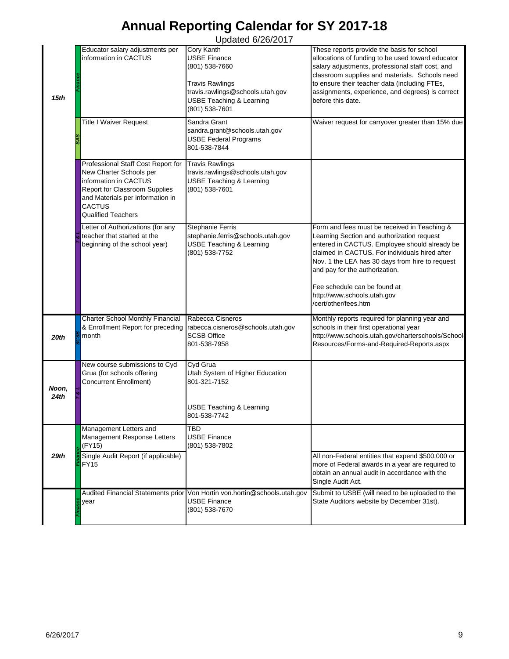|               | Educator salary adjustments per<br>information in CACTUS                                                                                                                                                  | $O$ $P$ $O$ $O$ $O$ $O$ $O$ $O$ $O$ $O$ $O$<br>Cory Kanth<br><b>USBE Finance</b>                                                                                                                                                       | These reports provide the basis for school                                                                                                                                                                                                                                                                                             |
|---------------|-----------------------------------------------------------------------------------------------------------------------------------------------------------------------------------------------------------|----------------------------------------------------------------------------------------------------------------------------------------------------------------------------------------------------------------------------------------|----------------------------------------------------------------------------------------------------------------------------------------------------------------------------------------------------------------------------------------------------------------------------------------------------------------------------------------|
| 15th          | <b>Title I Waiver Request</b>                                                                                                                                                                             | (801) 538-7660<br><b>Travis Rawlings</b><br>travis.rawlings@schools.utah.gov<br><b>USBE Teaching &amp; Learning</b><br>(801) 538-7601<br>Sandra Grant<br>sandra.grant@schools.utah.gov<br><b>USBE Federal Programs</b><br>801-538-7844 | allocations of funding to be used toward educator<br>salary adjustments, professional staff cost, and<br>classroom supplies and materials. Schools need<br>to ensure their teacher data (including FTEs,<br>assignments, experience, and degrees) is correct<br>before this date.<br>Waiver request for carryover greater than 15% due |
|               | Professional Staff Cost Report for<br>New Charter Schools per<br>information in CACTUS<br>Report for Classroom Supplies<br>and Materials per information in<br><b>CACTUS</b><br><b>Qualified Teachers</b> | <b>Travis Rawlings</b><br>travis.rawlings@schools.utah.gov<br><b>USBE Teaching &amp; Learning</b><br>(801) 538-7601                                                                                                                    |                                                                                                                                                                                                                                                                                                                                        |
|               | Letter of Authorizations (for any<br>teacher that started at the<br>beginning of the school year)                                                                                                         | <b>Stephanie Ferris</b><br>stephanie.ferris@schools.utah.gov<br><b>USBE Teaching &amp; Learning</b><br>(801) 538-7752                                                                                                                  | Form and fees must be received in Teaching &<br>Learning Section and authorization request<br>entered in CACTUS. Employee should already be<br>claimed in CACTUS. For individuals hired after<br>Nov. 1 the LEA has 30 days from hire to request<br>and pay for the authorization.<br>Fee schedule can be found at                     |
|               |                                                                                                                                                                                                           |                                                                                                                                                                                                                                        | http://www.schools.utah.gov<br>/cert/other/fees.htm                                                                                                                                                                                                                                                                                    |
| 20th          | <b>Charter School Monthly Financial</b><br>& Enrollment Report for preceding<br>month                                                                                                                     | Rabecca Cisneros<br>rabecca.cisneros@schools.utah.gov<br><b>SCSB Office</b><br>801-538-7958                                                                                                                                            | Monthly reports required for planning year and<br>schools in their first operational year<br>http://www.schools.utah.gov/charterschools/School-<br>Resources/Forms-and-Required-Reports.aspx                                                                                                                                           |
| Noon,<br>24th | New course submissions to Cyd<br>Grua (for schools offering<br>Concurrent Enrollment)                                                                                                                     | Cyd Grua<br>Utah System of Higher Education<br>801-321-7152<br>USBE Teaching & Learning<br>801-538-7742                                                                                                                                |                                                                                                                                                                                                                                                                                                                                        |
|               | Management Letters and<br>Management Response Letters<br>(FY15)                                                                                                                                           | TBD<br><b>USBE Finance</b>                                                                                                                                                                                                             |                                                                                                                                                                                                                                                                                                                                        |
| 29th          | Single Audit Report (if applicable)<br>FY15                                                                                                                                                               | (801) 538-7802                                                                                                                                                                                                                         | All non-Federal entities that expend \$500,000 or<br>more of Federal awards in a year are required to<br>obtain an annual audit in accordance with the<br>Single Audit Act.                                                                                                                                                            |
|               | year                                                                                                                                                                                                      | Audited Financial Statements prior Von Hortin von.hortin@schools.utah.gov<br><b>USBE Finance</b><br>(801) 538-7670                                                                                                                     | Submit to USBE (will need to be uploaded to the<br>State Auditors website by December 31st).                                                                                                                                                                                                                                           |
| 6/26/2017     |                                                                                                                                                                                                           |                                                                                                                                                                                                                                        | 9                                                                                                                                                                                                                                                                                                                                      |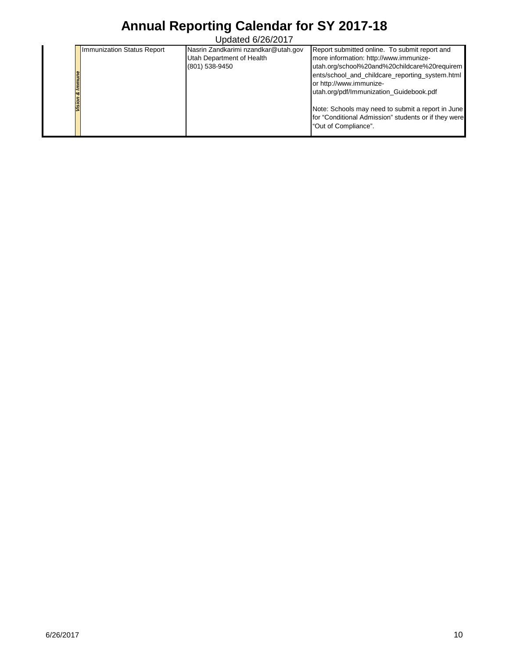| ۰ő        | <b>Immunization Status Report</b> | Nasrin Zandkarimi nzandkar@utah.gov<br>Utah Department of Health<br>(801) 538-9450 | Report submitted online. To submit report and<br>more information: http://www.immunize-<br>utah.org/school%20and%20childcare%20requirem<br>ents/school_and_childcare_reporting_system.html<br>or http://www.immunize-<br>utah.org/pdf/Immunization_Guidebook.pdf<br>Note: Schools may need to submit a report in June<br>for "Conditional Admission" students or if they were<br>"Out of Compliance". |
|-----------|-----------------------------------|------------------------------------------------------------------------------------|-------------------------------------------------------------------------------------------------------------------------------------------------------------------------------------------------------------------------------------------------------------------------------------------------------------------------------------------------------------------------------------------------------|
|           |                                   |                                                                                    |                                                                                                                                                                                                                                                                                                                                                                                                       |
|           |                                   |                                                                                    |                                                                                                                                                                                                                                                                                                                                                                                                       |
|           |                                   |                                                                                    |                                                                                                                                                                                                                                                                                                                                                                                                       |
|           |                                   |                                                                                    |                                                                                                                                                                                                                                                                                                                                                                                                       |
|           |                                   |                                                                                    |                                                                                                                                                                                                                                                                                                                                                                                                       |
|           |                                   |                                                                                    |                                                                                                                                                                                                                                                                                                                                                                                                       |
|           |                                   |                                                                                    |                                                                                                                                                                                                                                                                                                                                                                                                       |
| 6/26/2017 |                                   |                                                                                    | $10$                                                                                                                                                                                                                                                                                                                                                                                                  |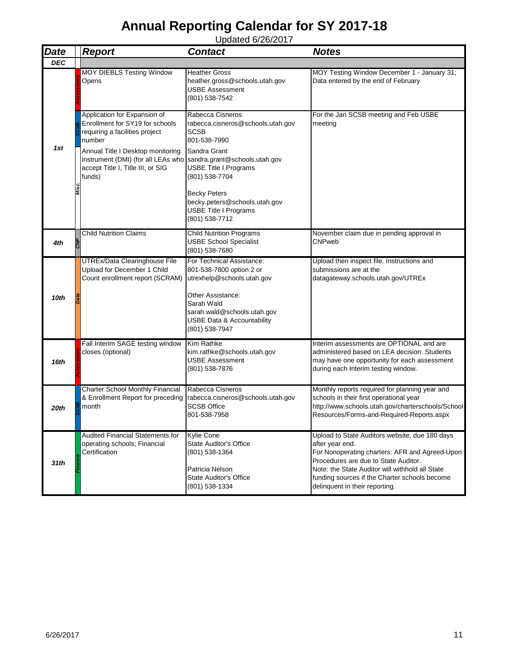| <b>Date</b> | <b>Report</b>                                                                                                                                                                                                                                                       | <b>Contact</b>                                                                                                                                                                                        | <b>Notes</b>                                                                                                                                                                                                                                                                                      |
|-------------|---------------------------------------------------------------------------------------------------------------------------------------------------------------------------------------------------------------------------------------------------------------------|-------------------------------------------------------------------------------------------------------------------------------------------------------------------------------------------------------|---------------------------------------------------------------------------------------------------------------------------------------------------------------------------------------------------------------------------------------------------------------------------------------------------|
| <b>DEC</b>  |                                                                                                                                                                                                                                                                     |                                                                                                                                                                                                       |                                                                                                                                                                                                                                                                                                   |
|             | MOY DIEBLS Testing Window<br>Opens                                                                                                                                                                                                                                  | <b>Heather Gross</b><br>heather.gross@schools.utah.gov<br>USBE Assessment<br>(801) 538-7542                                                                                                           | MOY Testing Window December 1 - January 31;<br>Data entered by the end of February                                                                                                                                                                                                                |
| 1st         | Application for Expansion of<br>Enrollment for SY19 for schools<br>requiring a facilities project<br>number<br>Annual Title I Desktop monitoring<br>instrument (DMI) (for all LEAs who sandra.grant@schools.utah.gov<br>accept Title I, Title III, or SIG<br>funds) | Rabecca Cisneros<br>rabecca.cisneros@schools.utah.gov<br><b>SCSB</b><br>801-538-7990<br>Sandra Grant<br><b>USBE Title I Programs</b><br>(801) 538-7704                                                | For the Jan SCSB meeting and Feb USBE<br>meeting                                                                                                                                                                                                                                                  |
|             |                                                                                                                                                                                                                                                                     | <b>Becky Peters</b><br>becky.peters@schools.utah.gov<br><b>USBE Title I Programs</b><br>(801) 538-7712                                                                                                |                                                                                                                                                                                                                                                                                                   |
| 4th         | <b>Child Nutrition Claims</b>                                                                                                                                                                                                                                       | <b>Child Nutrition Programs</b><br><b>USBE School Specialist</b><br>(801) 538-7680                                                                                                                    | November claim due in pending approval in<br>CNPweb                                                                                                                                                                                                                                               |
| 10th        | UTREx/Data Clearinghouse File<br>Upload for December 1 Child<br>Count enrollment report (SCRAM)                                                                                                                                                                     | For Technical Assistance:<br>801-538-7800 option 2 or<br>utrexhelp@schools.utah.gov<br>Other Assistance:<br>Sarah Wald<br>sarah.wald@schools.utah.gov<br>USBE Data & Accountability<br>(801) 538-7947 | Upload then inspect file. Instructions and<br>submissions are at the<br>datagateway.schools.utah.gov/UTREx                                                                                                                                                                                        |
| 16th        | Fall Interim SAGE testing window<br>closes (optional)                                                                                                                                                                                                               | <b>Kim Rathke</b><br>kim.rathke@schools.utah.gov<br>USBE Assessment<br>(801) 538-7876                                                                                                                 | Interim assessments are OPTIONAL and are<br>administered based on LEA decision. Students<br>may have one opportunity for each assessment<br>during each Interim testing window.                                                                                                                   |
| 20th        | <b>Charter School Monthly Financial</b><br>& Enrollment Report for preceding<br>month                                                                                                                                                                               | Rabecca Cisneros<br>rabecca.cisneros@schools.utah.gov<br><b>SCSB Office</b><br>801-538-7958                                                                                                           | Monthly reports required for planning year and<br>schools in their first operational year<br>http://www.schools.utah.gov/charterschools/School-<br>Resources/Forms-and-Required-Reports.aspx                                                                                                      |
| 31th        | Audited Financial Statements for<br>operating schools; Financial<br>Certification                                                                                                                                                                                   | <b>Kylie Cone</b><br><b>State Auditor's Office</b><br>(801) 538-1364<br>Patricia Nelson<br><b>State Auditor's Office</b><br>(801) 538-1334                                                            | Upload to State Auditors website, due 180 days<br>after year end.<br>For Nonoperating charters: AFR and Agreed-Upon<br>Procedures are due to State Auditor.<br>Note: the State Auditor will withhold all State<br>funding sources if the Charter schools become<br>delinquent in their reporting. |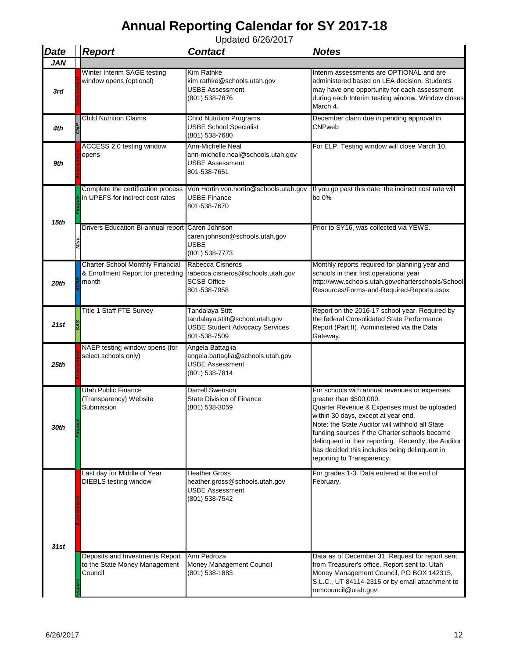| <b>Date</b> | <b>Report</b>                                                                         | <b>Contact</b>                                                                                              | <b>Notes</b>                                                                                                                                                                                                                                                                                                                                                                                             |
|-------------|---------------------------------------------------------------------------------------|-------------------------------------------------------------------------------------------------------------|----------------------------------------------------------------------------------------------------------------------------------------------------------------------------------------------------------------------------------------------------------------------------------------------------------------------------------------------------------------------------------------------------------|
| <b>JAN</b>  |                                                                                       |                                                                                                             |                                                                                                                                                                                                                                                                                                                                                                                                          |
| 3rd         | Winter Interim SAGE testing<br>window opens (optional)                                | Kim Rathke<br>kim.rathke@schools.utah.gov<br><b>USBE Assessment</b><br>(801) 538-7876                       | Interim assessments are OPTIONAL and are<br>administered based on LEA decision. Students<br>may have one opportunity for each assessment<br>during each Interim testing window. Window closes<br>March 4.                                                                                                                                                                                                |
| 4th         | <b>Child Nutrition Claims</b>                                                         | <b>Child Nutrition Programs</b><br><b>USBE School Specialist</b><br>(801) 538-7680                          | December claim due in pending approval in<br>CNPweb                                                                                                                                                                                                                                                                                                                                                      |
| 9th         | ACCESS 2.0 testing window<br>opens                                                    | Ann-Michelle Neal<br>ann-michelle.neal@schools.utah.gov<br>USBE Assessment<br>801-538-7651                  | For ELP. Testing window will close March 10.                                                                                                                                                                                                                                                                                                                                                             |
| 15th        | Complete the certification process<br>in UPEFS for indirect cost rates                | Von Hortin von.hortin@schools.utah.gov<br>USBE Finance<br>801-538-7670                                      | If you go past this date, the indirect cost rate will<br>be 0%                                                                                                                                                                                                                                                                                                                                           |
|             | Drivers Education Bi-annual report Caren Johnson                                      | caren.johnson@schools.utah.gov<br><b>USBE</b><br>(801) 538-7773                                             | Prior to SY16, was collected via YEWS.                                                                                                                                                                                                                                                                                                                                                                   |
| 20th        | <b>Charter School Monthly Financial</b><br>& Enrollment Report for preceding<br>month | Rabecca Cisneros<br>rabecca.cisneros@schools.utah.gov<br><b>SCSB Office</b><br>801-538-7958                 | Monthly reports required for planning year and<br>schools in their first operational year<br>http://www.schools.utah.gov/charterschools/School-<br>Resources/Forms-and-Required-Reports.aspx                                                                                                                                                                                                             |
| 21st        | Title 1 Staff FTE Survey                                                              | Tandalaya Stitt<br>tandalaya.stitt@school.utah.gov<br><b>USBE Student Advocacy Services</b><br>801-538-7509 | Report on the 2016-17 school year. Required by<br>the federal Consolidated State Performance<br>Report (Part II). Administered via the Data<br>Gateway.                                                                                                                                                                                                                                                  |
| 25th        | NAEP testing window opens (for<br>select schools only)                                | Angela Battaglia<br>angela.battaglia@schools.utah.gov<br><b>USBE Assessment</b><br>(801) 538-7814           |                                                                                                                                                                                                                                                                                                                                                                                                          |
| 30th        | <b>Utah Public Finance</b><br>(Transparency) Website<br>Submission                    | <b>Darrell Swenson</b><br><b>State Division of Finance</b><br>(801) 538-3059                                | For schools with annual revenues or expenses<br>greater than \$500,000.<br>Quarter Revenue & Expenses must be uploaded<br>within 30 days, except at year end.<br>Note: the State Auditor will withhold all State<br>funding sources if the Charter schools become<br>delinquent in their reporting. Recently, the Auditor<br>has decided this includes being delinquent in<br>reporting to Transparency. |
| 31st        | Last day for Middle of Year<br><b>DIEBLS</b> testing window                           | Heather Gross<br>heather.gross@schools.utah.gov<br><b>USBE Assessment</b><br>(801) 538-7542                 | For grades 1-3. Data entered at the end of<br>February.                                                                                                                                                                                                                                                                                                                                                  |
|             | Deposits and Investments Report<br>to the State Money Management<br>Council           | Ann Pedroza<br>Money Management Council<br>(801) 538-1883                                                   | Data as of December 31. Request for report sent<br>from Treasurer's office. Report sent to: Utah<br>Money Management Council, PO BOX 142315,<br>S.L.C., UT 84114-2315 or by email attachment to<br>mmcouncil@utah.gov.                                                                                                                                                                                   |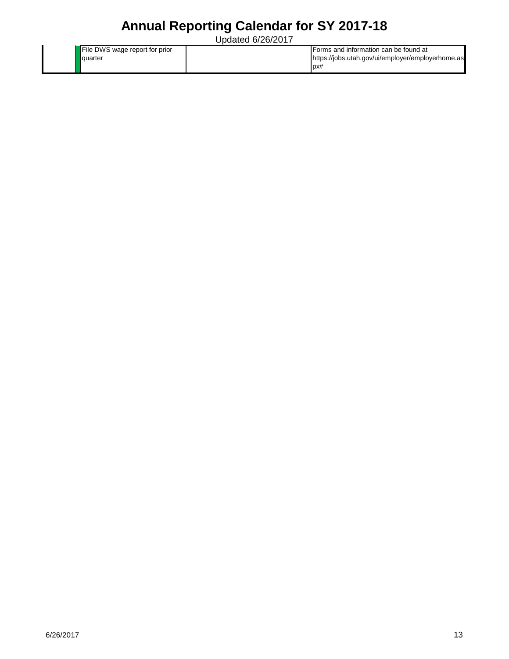| File DWS wage report for prior | Forms and information can be found at             |
|--------------------------------|---------------------------------------------------|
| quarter                        | https://jobs.utah.gov/ui/employer/employerhome.as |
|                                | DX#                                               |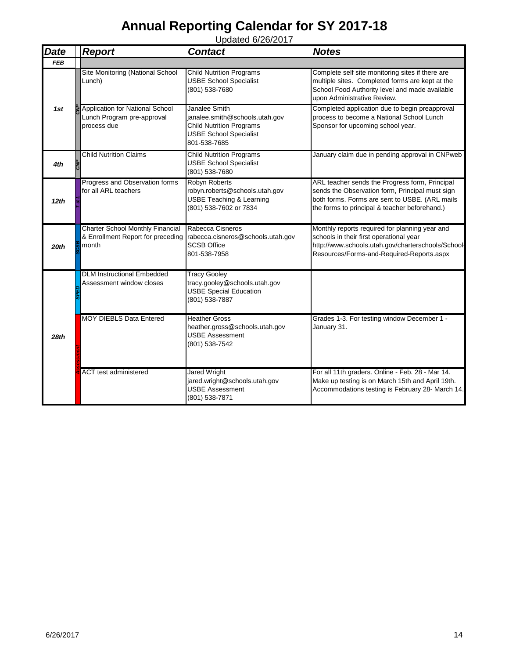| <b>Date</b> | <b>Report</b>                                                                         | <b>Contact</b>                                                                                                                      | <b>Notes</b>                                                                                                                                                                                         |
|-------------|---------------------------------------------------------------------------------------|-------------------------------------------------------------------------------------------------------------------------------------|------------------------------------------------------------------------------------------------------------------------------------------------------------------------------------------------------|
| <b>FEB</b>  |                                                                                       |                                                                                                                                     |                                                                                                                                                                                                      |
|             | Site Monitoring (National School<br>Lunch)                                            | <b>Child Nutrition Programs</b><br><b>USBE School Specialist</b><br>(801) 538-7680                                                  | Complete self site monitoring sites if there are<br>multiple sites. Completed forms are kept at the<br>School Food Authority level and made available<br>upon Administrative Review.                 |
| 1st         | Application for National School<br>Lunch Program pre-approval<br>process due          | Janalee Smith<br>janalee.smith@schools.utah.gov<br><b>Child Nutrition Programs</b><br><b>USBE School Specialist</b><br>801-538-7685 | Completed application due to begin preapproval<br>process to become a National School Lunch<br>Sponsor for upcoming school year.                                                                     |
| 4th         | <b>Child Nutrition Claims</b>                                                         | <b>Child Nutrition Programs</b><br><b>USBE School Specialist</b><br>(801) 538-7680                                                  | January claim due in pending approval in CNPweb                                                                                                                                                      |
| 12th        | Progress and Observation forms<br>for all ARL teachers                                | Robyn Roberts<br>robyn.roberts@schools.utah.gov<br><b>USBE Teaching &amp; Learning</b><br>(801) 538-7602 or 7834                    | ARL teacher sends the Progress form, Principal<br>sends the Observation form, Principal must sign<br>both forms. Forms are sent to USBE. (ARL mails<br>the forms to principal & teacher beforehand.) |
| 20th        | <b>Charter School Monthly Financial</b><br>& Enrollment Report for preceding<br>month | Rabecca Cisneros<br>rabecca.cisneros@schools.utah.gov<br><b>SCSB Office</b><br>801-538-7958                                         | Monthly reports required for planning year and<br>schools in their first operational year<br>http://www.schools.utah.gov/charterschools/School-<br>Resources/Forms-and-Required-Reports.aspx         |
|             | <b>DLM Instructional Embedded</b><br>Assessment window closes                         | <b>Tracy Gooley</b><br>tracy.gooley@schools.utah.gov<br><b>USBE Special Education</b><br>(801) 538-7887                             |                                                                                                                                                                                                      |
| 28th        | <b>MOY DIEBLS Data Entered</b>                                                        | <b>Heather Gross</b><br>heather.gross@schools.utah.gov<br><b>USBE Assessment</b><br>(801) 538-7542                                  | Grades 1-3. For testing window December 1 -<br>January 31.                                                                                                                                           |
|             | <b>ACT</b> test administered                                                          | Jared Wright<br>jared.wright@schools.utah.gov<br><b>USBE Assessment</b><br>(801) 538-7871                                           | For all 11th graders. Online - Feb. 28 - Mar 14.<br>Make up testing is on March 15th and April 19th.<br>Accommodations testing is February 28- March 14.                                             |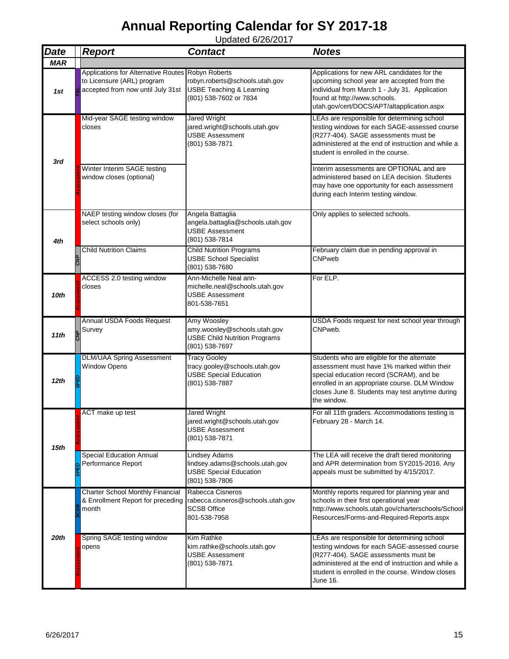| <b>Date</b>      | <b>Report</b>                                                                                                        | <b>Contact</b>                                                                                          | <b>Notes</b>                                                                                                                                                                                                                                               |  |
|------------------|----------------------------------------------------------------------------------------------------------------------|---------------------------------------------------------------------------------------------------------|------------------------------------------------------------------------------------------------------------------------------------------------------------------------------------------------------------------------------------------------------------|--|
| <b>MAR</b>       |                                                                                                                      |                                                                                                         |                                                                                                                                                                                                                                                            |  |
| 1st              | Applications for Alternative Routes Robyn Roberts<br>to Licensure (ARL) program<br>accepted from now until July 31st | robyn.roberts@schools.utah.gov<br><b>USBE Teaching &amp; Learning</b><br>(801) 538-7602 or 7834         | Applications for new ARL candidates for the<br>upcoming school year are accepted from the<br>individual from March 1 - July 31. Application<br>found at http://www.schools.<br>utah.gov/cert/DOCS/APT/altapplication.aspx                                  |  |
| 3rd              | Mid-year SAGE testing window<br>closes                                                                               | Jared Wright<br>jared.wright@schools.utah.gov<br><b>USBE Assessment</b><br>(801) 538-7871               | LEAs are responsible for determining school<br>testing windows for each SAGE-assessed course<br>(R277-404). SAGE assessments must be<br>administered at the end of instruction and while a<br>student is enrolled in the course.                           |  |
|                  | Winter Interim SAGE testing<br>window closes (optional)                                                              |                                                                                                         | Interim assessments are OPTIONAL and are<br>administered based on LEA decision. Students<br>may have one opportunity for each assessment<br>during each Interim testing window.                                                                            |  |
| 4th              | NAEP testing window closes (for<br>select schools only)                                                              | Angela Battaglia<br>angela.battaglia@schools.utah.gov<br><b>USBE Assessment</b><br>(801) 538-7814       | Only applies to selected schools.                                                                                                                                                                                                                          |  |
|                  | <b>Child Nutrition Claims</b>                                                                                        | <b>Child Nutrition Programs</b><br><b>USBE School Specialist</b><br>(801) 538-7680                      | February claim due in pending approval in<br>CNPweb                                                                                                                                                                                                        |  |
| 10th             | ACCESS 2.0 testing window<br>closes                                                                                  | Ann-Michelle Neal ann-<br>michelle.neal@schools.utah.gov<br><b>USBE Assessment</b><br>801-538-7651      | For ELP.                                                                                                                                                                                                                                                   |  |
| 11 <sub>th</sub> | Annual USDA Foods Request<br>Survey                                                                                  | Amy Woosley<br>amy.woosley@schools.utah.gov<br><b>USBE Child Nutrition Programs</b><br>(801) 538-7697   | USDA Foods request for next school year through<br>CNPweb.                                                                                                                                                                                                 |  |
| 12th             | <b>DLM/UAA Spring Assessment</b><br><b>Window Opens</b>                                                              | <b>Tracy Gooley</b><br>tracy.gooley@schools.utah.gov<br><b>USBE Special Education</b><br>(801) 538-7887 | Students who are eligible for the alternate<br>assessment must have 1% marked within their<br>special education record (SCRAM), and be<br>enrolled in an appropriate course. DLM Window<br>closes June 8. Students may test anytime during<br>the window.  |  |
| 15 <sub>th</sub> | ACT make up test                                                                                                     | <b>Jared Wright</b><br>jared.wright@schools.utah.gov<br><b>USBE Assessment</b><br>(801) 538-7871        | For all 11th graders. Accommodations testing is<br>February 28 - March 14.                                                                                                                                                                                 |  |
|                  | <b>Special Education Annual</b><br>Performance Report                                                                | Lindsey Adams<br>lindsey.adams@schools.utah.gov<br><b>USBE Special Education</b><br>(801) 538-7806      | The LEA will receive the draft tiered monitoring<br>and APR determination from SY2015-2016. Any<br>appeals must be submitted by 4/15/2017.                                                                                                                 |  |
|                  | <b>Charter School Monthly Financial</b><br>& Enrollment Report for preceding<br>month                                | Rabecca Cisneros<br>rabecca.cisneros@schools.utah.gov<br><b>SCSB Office</b><br>801-538-7958             | Monthly reports required for planning year and<br>schools in their first operational year<br>http://www.schools.utah.gov/charterschools/School-<br>Resources/Forms-and-Required-Reports.aspx                                                               |  |
| 20th             | Spring SAGE testing window<br>opens                                                                                  | Kim Rathke<br>kim.rathke@schools.utah.gov<br><b>USBE Assessment</b><br>(801) 538-7871                   | LEAs are responsible for determining school<br>testing windows for each SAGE-assessed course<br>(R277-404). SAGE assessments must be<br>administered at the end of instruction and while a<br>student is enrolled in the course. Window closes<br>June 16. |  |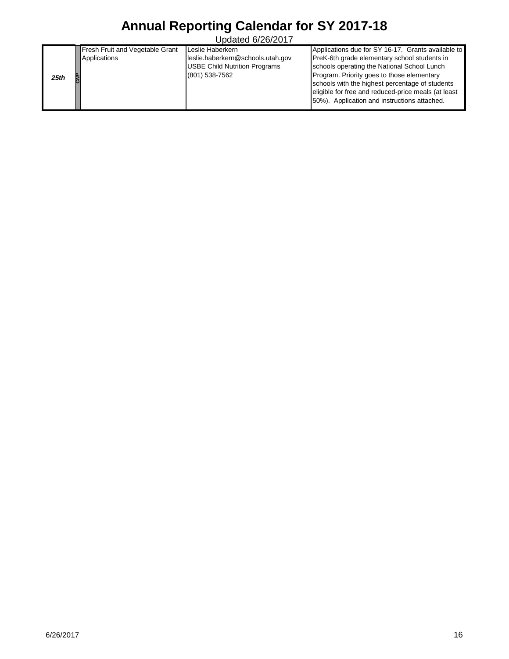|      | Fresh Fruit and Vegetable Grant | Leslie Haberkern                     | Applications due for SY 16-17. Grants available to  |
|------|---------------------------------|--------------------------------------|-----------------------------------------------------|
|      | Applications                    | leslie.haberkern@schools.utah.gov    | PreK-6th grade elementary school students in        |
|      |                                 | <b>USBE Child Nutrition Programs</b> | schools operating the National School Lunch         |
| 25th |                                 | (801) 538-7562                       | Program. Priority goes to those elementary          |
|      |                                 |                                      | schools with the highest percentage of students     |
|      |                                 |                                      | eligible for free and reduced-price meals (at least |
|      |                                 |                                      | 50%). Application and instructions attached.        |
|      |                                 |                                      |                                                     |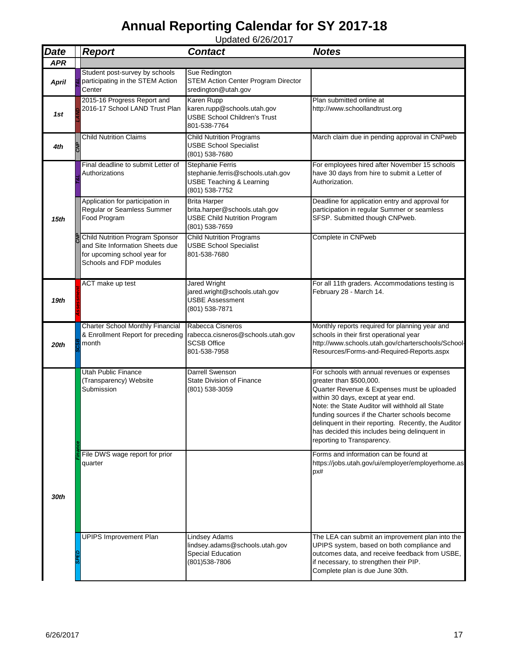| <b>Date</b>  | <b>Report</b>                                                                                                                        | <b>Contact</b>                                                                                                        | <b>Notes</b>                                                                                                                                                                                                                                                                                                                                                                                             |
|--------------|--------------------------------------------------------------------------------------------------------------------------------------|-----------------------------------------------------------------------------------------------------------------------|----------------------------------------------------------------------------------------------------------------------------------------------------------------------------------------------------------------------------------------------------------------------------------------------------------------------------------------------------------------------------------------------------------|
| <b>APR</b>   |                                                                                                                                      |                                                                                                                       |                                                                                                                                                                                                                                                                                                                                                                                                          |
| <b>April</b> | Student post-survey by schools<br>participating in the STEM Action<br>Center                                                         | Sue Redington<br><b>STEM Action Center Program Director</b><br>sredington@utah.gov                                    |                                                                                                                                                                                                                                                                                                                                                                                                          |
| 1st          | 2015-16 Progress Report and<br>2016-17 School LAND Trust Plan                                                                        | <b>Karen Rupp</b><br>karen.rupp@schools.utah.gov<br><b>USBE School Children's Trust</b><br>801-538-7764               | Plan submitted online at<br>http://www.schoollandtrust.org                                                                                                                                                                                                                                                                                                                                               |
| 4th          | <b>Child Nutrition Claims</b>                                                                                                        | <b>Child Nutrition Programs</b><br><b>USBE School Specialist</b><br>(801) 538-7680                                    | March claim due in pending approval in CNPweb                                                                                                                                                                                                                                                                                                                                                            |
|              | Final deadline to submit Letter of<br>Authorizations                                                                                 | <b>Stephanie Ferris</b><br>stephanie.ferris@schools.utah.gov<br><b>USBE Teaching &amp; Learning</b><br>(801) 538-7752 | For employees hired after November 15 schools<br>have 30 days from hire to submit a Letter of<br>Authorization.                                                                                                                                                                                                                                                                                          |
| 15th         | Application for participation in<br>Regular or Seamless Summer<br>Food Program                                                       | <b>Brita Harper</b><br>brita.harper@schools.utah.gov<br><b>USBE Child Nutrition Program</b><br>(801) 538-7659         | Deadline for application entry and approval for<br>participation in regular Summer or seamless<br>SFSP. Submitted though CNPweb.                                                                                                                                                                                                                                                                         |
|              | <b>Child Nutrition Program Sponsor</b><br>and Site Information Sheets due<br>for upcoming school year for<br>Schools and FDP modules | <b>Child Nutrition Programs</b><br><b>USBE School Specialist</b><br>801-538-7680                                      | Complete in CNPweb                                                                                                                                                                                                                                                                                                                                                                                       |
| 19th         | ACT make up test                                                                                                                     | <b>Jared Wright</b><br>jared.wright@schools.utah.gov<br><b>USBE Assessment</b><br>(801) 538-7871                      | For all 11th graders. Accommodations testing is<br>February 28 - March 14.                                                                                                                                                                                                                                                                                                                               |
| 20th         | <b>Charter School Monthly Financial</b><br>& Enrollment Report for preceding<br>month                                                | Rabecca Cisneros<br>rabecca.cisneros@schools.utah.gov<br><b>SCSB Office</b><br>801-538-7958                           | Monthly reports required for planning year and<br>schools in their first operational year<br>http://www.schools.utah.gov/charterschools/School-<br>Resources/Forms-and-Required-Reports.aspx                                                                                                                                                                                                             |
|              | <b>Utah Public Finance</b><br>(Transparency) Website<br>Submission                                                                   | Darrell Swenson<br>State Division of Finance<br>(801) 538-3059                                                        | For schools with annual revenues or expenses<br>greater than \$500,000.<br>Quarter Revenue & Expenses must be uploaded<br>within 30 days, except at year end.<br>Note: the State Auditor will withhold all State<br>funding sources if the Charter schools become<br>delinquent in their reporting. Recently, the Auditor<br>has decided this includes being delinguent in<br>reporting to Transparency. |
| 30th         | File DWS wage report for prior<br>quarter                                                                                            |                                                                                                                       | Forms and information can be found at<br>https://jobs.utah.gov/ui/employer/employerhome.as<br>px#                                                                                                                                                                                                                                                                                                        |
|              | <b>UPIPS Improvement Plan</b>                                                                                                        | <b>Lindsey Adams</b><br>lindsey.adams@schools.utah.gov<br>Special Education<br>(801) 538-7806                         | The LEA can submit an improvement plan into the<br>UPIPS system, based on both compliance and<br>outcomes data, and receive feedback from USBE,<br>if necessary, to strengthen their PIP.<br>Complete plan is due June 30th.                                                                                                                                                                             |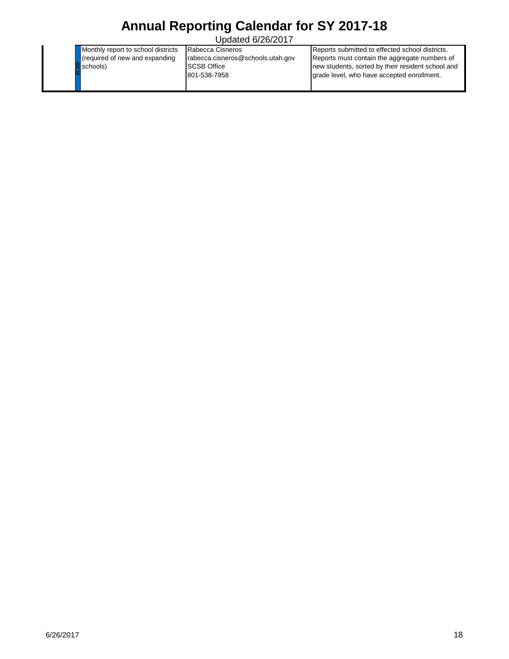Updated 6/26/2017

Monthly report to school districts (required of new and expanding schools)

Rabecca Cisneros rabecca.cisneros@schools.utah.gov SCSB Office 801-538-7958

exceeds)<br>(2012-2016)<br>(2012-2016)<br>(2012-2017<br>(2012-2017<br>(2012-2017<br>(2012-2017<br>(2012-2017<br>)<br>(2012-2017<br>)<br>(2012-2018)<br>(2013-2018)<br>(2013-2018)<br>(2013-2018)<br>(2013-2018)<br>(2013-2018)<br>(2013-2018)<br>(2013-2018)<br>(2013-2018)<br>(2013-2018) Reports submitted to effected school districts. Reports must contain the aggregate numbers of new students, sorted by their resident school and grade level, who have accepted enrollment.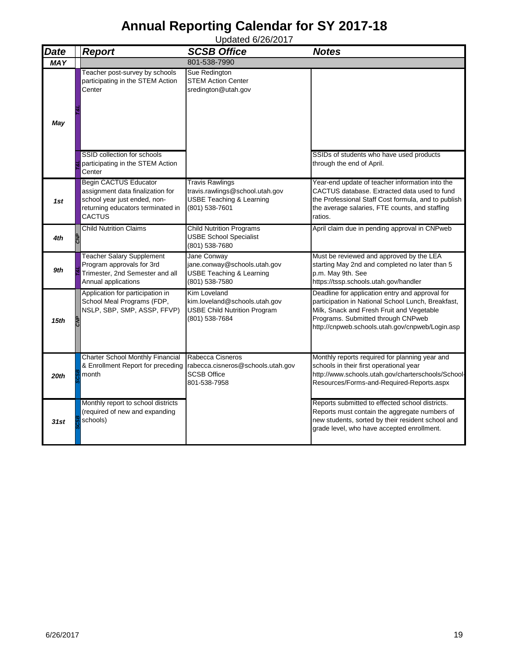| <b>Date</b> | <b>Report</b>                                                                                                                                   | <b>SCSB Office</b>                                                                                                 | <b>Notes</b>                                                                                                                                                                                                                                |
|-------------|-------------------------------------------------------------------------------------------------------------------------------------------------|--------------------------------------------------------------------------------------------------------------------|---------------------------------------------------------------------------------------------------------------------------------------------------------------------------------------------------------------------------------------------|
| <b>MAY</b>  |                                                                                                                                                 | 801-538-7990                                                                                                       |                                                                                                                                                                                                                                             |
| May         | Teacher post-survey by schools<br>participating in the STEM Action<br>Center                                                                    | Sue Redington<br><b>STEM Action Center</b><br>sredington@utah.gov                                                  |                                                                                                                                                                                                                                             |
|             | SSID collection for schools<br>participating in the STEM Action<br>Center                                                                       |                                                                                                                    | SSIDs of students who have used products<br>through the end of April.                                                                                                                                                                       |
| 1st         | <b>Begin CACTUS Educator</b><br>assignment data finalization for<br>school year just ended, non-<br>returning educators terminated in<br>CACTUS | <b>Travis Rawlings</b><br>travis.rawlings@school.utah.gov<br><b>USBE Teaching &amp; Learning</b><br>(801) 538-7601 | Year-end update of teacher information into the<br>CACTUS database. Extracted data used to fund<br>the Professional Staff Cost formula, and to publish<br>the average salaries, FTE counts, and staffing<br>ratios.                         |
| 4th         | <b>Child Nutrition Claims</b>                                                                                                                   | <b>Child Nutrition Programs</b><br><b>USBE School Specialist</b><br>(801) 538-7680                                 | April claim due in pending approval in CNPweb                                                                                                                                                                                               |
| 9th         | <b>Teacher Salary Supplement</b><br>Program approvals for 3rd<br>Trimester, 2nd Semester and all<br>Annual applications                         | Jane Conway<br>jane.conway@schools.utah.gov<br><b>USBE Teaching &amp; Learning</b><br>(801) 538-7580               | Must be reviewed and approved by the LEA<br>starting May 2nd and completed no later than 5<br>p.m. May 9th. See<br>https://tssp.schools.utah.gov/handler                                                                                    |
| 15th        | Application for participation in<br>School Meal Programs (FDP,<br>NSLP, SBP, SMP, ASSP, FFVP)                                                   | Kim Loveland<br>kim.loveland@schools.utah.gov<br><b>USBE Child Nutrition Program</b><br>(801) 538-7684             | Deadline for application entry and approval for<br>participation in National School Lunch, Breakfast,<br>Milk, Snack and Fresh Fruit and Vegetable<br>Programs. Submitted through CNPweb<br>http://cnpweb.schools.utah.gov/cnpweb/Login.asp |
| 20th        | <b>Charter School Monthly Financial</b><br>& Enrollment Report for preceding<br>month                                                           | Rabecca Cisneros<br>rabecca.cisneros@schools.utah.gov<br><b>SCSB Office</b><br>801-538-7958                        | Monthly reports required for planning year and<br>schools in their first operational year<br>http://www.schools.utah.gov/charterschools/School-<br>Resources/Forms-and-Required-Reports.aspx                                                |
| 31st        | Monthly report to school districts<br>(required of new and expanding<br>schools)                                                                |                                                                                                                    | Reports submitted to effected school districts.<br>Reports must contain the aggregate numbers of<br>new students, sorted by their resident school and<br>grade level, who have accepted enrollment.                                         |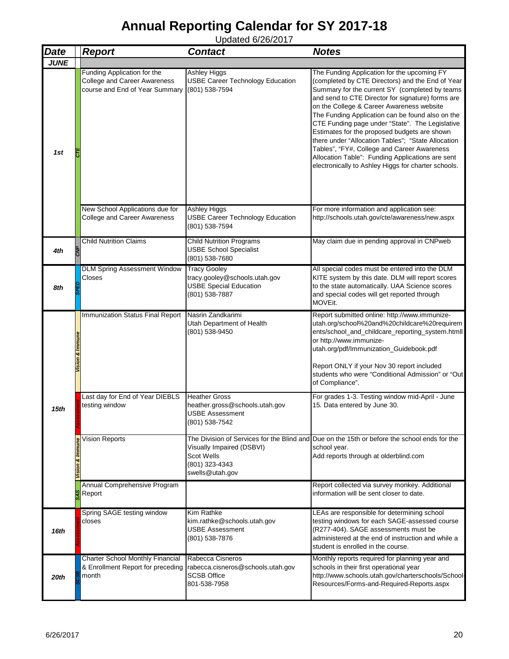| <b>Date</b> | <b>Report</b>                                                                                        | <b>Contact</b>                                                                                          | <b>Notes</b>                                                                                                                                                                                                                                                                                                                                                                                                                                                                                                                                                                                                               |
|-------------|------------------------------------------------------------------------------------------------------|---------------------------------------------------------------------------------------------------------|----------------------------------------------------------------------------------------------------------------------------------------------------------------------------------------------------------------------------------------------------------------------------------------------------------------------------------------------------------------------------------------------------------------------------------------------------------------------------------------------------------------------------------------------------------------------------------------------------------------------------|
| <b>JUNE</b> |                                                                                                      |                                                                                                         |                                                                                                                                                                                                                                                                                                                                                                                                                                                                                                                                                                                                                            |
| 1st         | Funding Application for the<br><b>College and Career Awareness</b><br>course and End of Year Summary | <b>Ashley Higgs</b><br><b>USBE Career Technology Education</b><br>(801) 538-7594                        | The Funding Application for the upcoming FY<br>(completed by CTE Directors) and the End of Year<br>Summary for the current SY (completed by teams<br>and send to CTE Director for signature) forms are<br>on the College & Career Awareness website<br>The Funding Application can be found also on the<br>CTE Funding page under "State". The Legislative<br>Estimates for the proposed budgets are shown<br>there under "Allocation Tables"; "State Allocation<br>Tables", "FY#, College and Career Awareness<br>Allocation Table": Funding Applications are sent<br>electronically to Ashley Higgs for charter schools. |
|             | New School Applications due for<br>College and Career Awareness                                      | <b>Ashley Higgs</b><br><b>USBE Career Technology Education</b><br>(801) 538-7594                        | For more information and application see:<br>http://schools.utah.gov/cte/awareness/new.aspx                                                                                                                                                                                                                                                                                                                                                                                                                                                                                                                                |
| 4th         | <b>Child Nutrition Claims</b>                                                                        | <b>Child Nutrition Programs</b><br><b>USBE School Specialist</b><br>(801) 538-7680                      | May claim due in pending approval in CNPweb                                                                                                                                                                                                                                                                                                                                                                                                                                                                                                                                                                                |
| 8th         | <b>DLM Spring Assessment Window</b><br>Closes                                                        | <b>Tracy Gooley</b><br>tracy.gooley@schools.utah.gov<br><b>USBE Special Education</b><br>(801) 538-7887 | All special codes must be entered into the DLM<br>KITE system by this date. DLM will report scores<br>to the state automatically. UAA Science scores<br>and special codes will get reported through<br>MOVEit.                                                                                                                                                                                                                                                                                                                                                                                                             |
| 15th        | Immunization Status Final Report                                                                     | Nasrin Zandkarimi<br>Utah Department of Health<br>(801) 538-9450                                        | Report submitted online: http://www.immunize-<br>utah.org/school%20and%20childcare%20requirem<br>ents/school_and_childcare_reporting_system.htmll<br>or http://www.immunize-<br>utah.org/pdf/Immunization_Guidebook.pdf<br>Report ONLY if your Nov 30 report included<br>students who were "Conditional Admission" or "Out<br>of Compliance".                                                                                                                                                                                                                                                                              |
|             | Last day for End of Year DIEBLS<br>testing window                                                    | <b>Heather Gross</b><br>heather.gross@schools.utah.gov<br><b>USBE Assessment</b><br>(801) 538-7542      | For grades 1-3. Testing window mid-April - June<br>15. Data entered by June 30.                                                                                                                                                                                                                                                                                                                                                                                                                                                                                                                                            |
|             | Vision Reports                                                                                       | Visually Impaired (DSBVI)<br><b>Scot Wells</b><br>(801) 323-4343<br>swells@utah.gov                     | The Division of Services for the Blind and Due on the 15th or before the school ends for the<br>school year.<br>Add reports through at olderblind.com                                                                                                                                                                                                                                                                                                                                                                                                                                                                      |
|             | Annual Comprehensive Program<br>Report                                                               |                                                                                                         | Report collected via survey monkey. Additional<br>information will be sent closer to date.                                                                                                                                                                                                                                                                                                                                                                                                                                                                                                                                 |
| 16th        | Spring SAGE testing window<br>closes                                                                 | Kim Rathke<br>kim.rathke@schools.utah.gov<br><b>USBE Assessment</b><br>(801) 538-7876                   | LEAs are responsible for determining school<br>testing windows for each SAGE-assessed course<br>(R277-404). SAGE assessments must be<br>administered at the end of instruction and while a<br>student is enrolled in the course.                                                                                                                                                                                                                                                                                                                                                                                           |
| 20th        | <b>Charter School Monthly Financial</b><br>& Enrollment Report for preceding<br>month                | Rabecca Cisneros<br>rabecca.cisneros@schools.utah.gov<br><b>SCSB Office</b><br>801-538-7958             | Monthly reports required for planning year and<br>schools in their first operational year<br>http://www.schools.utah.gov/charterschools/School-<br>Resources/Forms-and-Required-Reports.aspx                                                                                                                                                                                                                                                                                                                                                                                                                               |